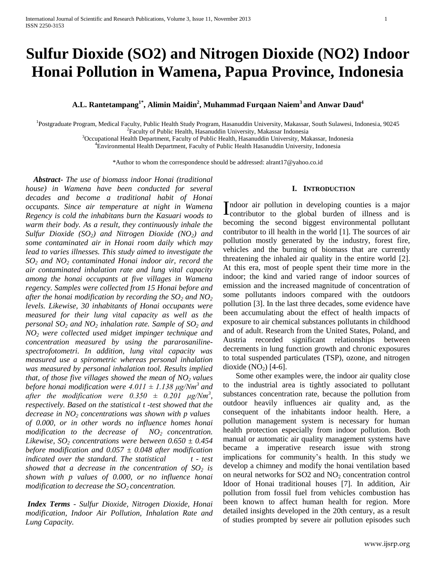# **Sulfur Dioxide (SO2) and Nitrogen Dioxide (NO2) Indoor Honai Pollution in Wamena, Papua Province, Indonesia**

# **A.L. Rantetampang1\*, Alimin Maidin<sup>2</sup> , Muhammad Furqaan Naiem<sup>3</sup>and Anwar Daud<sup>4</sup>**

<sup>1</sup>Postgraduate Program, Medical Faculty, Public Health Study Program, Hasanuddin University, Makassar, South Sulawesi, Indonesia, 90245  ${}^{2}$ Faculty of Public Health, Hasanuddin University, Makassar Indonesia

<sup>3</sup>Occupational Health Department, Faculty of Public Health, Hasanuddin University, Makassar, Indonesia

<sup>4</sup>Environmental Health Department, Faculty of Public Health Hasanuddin University, Indonesia

\*Author to whom the correspondence should be addressed: alrant17@yahoo.co.id

 *Abstract***-** *The use of biomass indoor Honai (traditional house) in Wamena have been conducted for several decades and become a traditional habit of Honai occupants. Since air temperature at night in Wamena Regency is cold the inhabitans burn the Kasuari woods to warm their body. As a result, they continuously inhale the Sulfur Dioxide (SO2) and Nitrogen Dioxide (NO2) and some contaminated air in Honai room daily which may lead to varies illnesses. This study aimed to investigate the SO<sup>2</sup> and NO<sup>2</sup> contaminated Honai indoor air, record the air contaminated inhalation rate and lung vital capacity among the honai occupants at five villages in Wamena regency. Samples were collected from 15 Honai before and after the honai modification by recording the SO<sup>2</sup> and NO<sup>2</sup> levels. Likewise, 30 inhabitants of Honai occupants were measured for their lung vital capacity as well as the personal SO<sup>2</sup> and NO<sup>2</sup> inhalation rate. Sample of SO<sup>2</sup> and NO<sup>2</sup> were collected used midget impinger technique and concentration measured by using the pararosanilinespectrofotometri. In addition, lung vital capacity was measured use a spirometric whereas personal inhalation was measured by personal inhalation tool. Results implied that, of those five villages showed the mean of NO2 values before honai modification were 4.011*  $\pm$  1.138  $\mu$ g/Nm<sup>3</sup> and *after the modification were*  $0.350 \pm 0.201$  $\mu$ *g/Nm<sup>3</sup>, respectively. Based on the statistical t -test showed that the decrease in NO<sup>2</sup> concentrations was shown with p values of 0.000, or in other words no influence homes honai modification to the decrease of NO2 concentration. Likewise, SO<sub>2</sub> concentrations were between*  $0.650 \pm 0.454$ *before modification and 0.057 ± 0.048 after modification indicated over the standard. The statistical*  $t - test$ *showed that a decrease in the concentration of SO<sup>2</sup> is shown with p values of 0.000, or no influence honai modification to decrease the SO2 concentration.*

*Index Terms - Sulfur Dioxide, Nitrogen Dioxide, Honai modification, Indoor Air Pollution, Inhalation Rate and Lung Capacity.*

#### **I. INTRODUCTION**

ndoor air pollution in developing counties is a major Indoor air pollution in developing counties is a major contributor to the global burden of illness and is becoming the second biggest environmental pollutant contributor to ill health in the world [1]. The sources of air pollution mostly generated by the industry, forest fire, vehicles and the burning of biomass that are currently threatening the inhaled air quality in the entire world [2]. At this era, most of people spent their time more in the indoor; the kind and varied range of indoor sources of emission and the increased magnitude of concentration of some pollutants indoors compared with the outdoors pollution [3]. In the last three decades, some evidence have been accumulating about the effect of health impacts of exposure to air chemical substances pollutants in childhood and of adult. Research from the United States, Poland, and Austria recorded significant relationships between decrements in lung function growth and chronic exposures to total suspended particulates (TSP), ozone, and nitrogen dioxide  $(NO<sub>2</sub>)$  [4-6].

Some other examples were, the indoor air quality close to the industrial area is tightly associated to pollutant substances concentration rate, because the pollution from outdoor heavily influences air quality and, as the consequent of the inhabitants indoor health. Here, a pollution management system is necessary for human health protection especially from indoor pollution. Both manual or automatic air quality management systems have became a imperative research issue with strong implications for community's health. In this study we develop a chimney and modify the honai ventilation based on neural networks for  $SO2$  and  $NO<sub>2</sub>$  concentration control Idoor of Honai traditional houses [7]. In addition, Air pollution from fossil fuel from vehicles combustion has been known to affect human health for region. More detailed insights developed in the 20th century, as a result of studies prompted by severe air pollution episodes such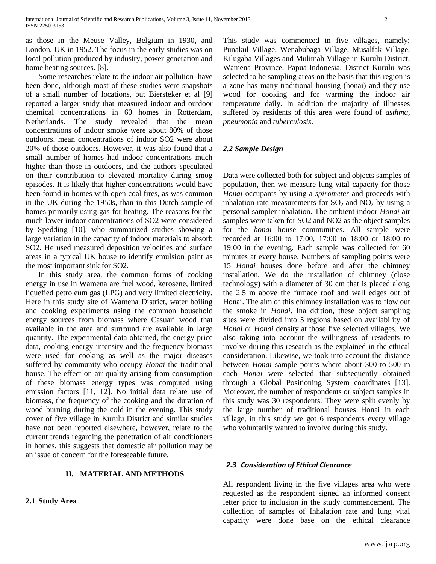as those in the Meuse Valley, Belgium in 1930, and London, UK in 1952. The focus in the early studies was on local pollution produced by industry, power generation and home heating sources. [8].

Some researches relate to the indoor air pollution have been done, although most of these studies were snapshots of a small number of locations, but Biersteker et al [9] reported a larger study that measured indoor and outdoor chemical concentrations in 60 homes in Rotterdam, Netherlands. The study revealed that the mean concentrations of indoor smoke were about 80% of those outdoors, mean concentrations of indoor SO2 were about 20% of those outdoors. However, it was also found that a small number of homes had indoor concentrations much higher than those in outdoors, and the authors speculated on their contribution to elevated mortality during smog episodes. It is likely that higher concentrations would have been found in homes with open coal fires, as was common in the UK during the 1950s, than in this Dutch sample of homes primarily using gas for heating. The reasons for the much lower indoor concentrations of SO2 were considered by Spedding [10], who summarized studies showing a large variation in the capacity of indoor materials to absorb SO2. He used measured deposition velocities and surface areas in a typical UK house to identify emulsion paint as the most important sink for SO2.

In this study area, the common forms of cooking energy in use in Wamena are fuel wood, kerosene, limited liquefied petroleum gas (LPG) and very limited electricity. Here in this study site of Wamena District, water boiling and cooking experiments using the common household energy sources from biomass where Casuari wood that available in the area and surround are available in large quantity. The experimental data obtained, the energy price data, cooking energy intensity and the frequency biomass were used for cooking as well as the major diseases suffered by community who occupy *Honai* the traditional house. The effect on air quality arising from consumption of these biomass energy types was computed using emission factors [11, 12]. No initial data relate use of biomass, the frequency of the cooking and the duration of wood burning during the cold in the evening. This study cover of five village in Kurulu District and similar studies have not been reported elsewhere, however, relate to the current trends regarding the penetration of air conditioners in homes, this suggests that domestic air pollution may be an issue of concern for the foreseeable future.

### **II. MATERIAL AND METHODS**

#### **2.1 Study Area**

This study was commenced in five villages, namely; Punakul Village, Wenabubaga Village, Musalfak Village, Kilugaba Villages and Mulimah Village in Kurulu District, Wamena Province, Papua-Indonesia. District Kurulu was selected to be sampling areas on the basis that this region is a zone has many traditional housing (honai) and they use wood for cooking and for warming the indoor air temperature daily. In addition the majority of illnesses suffered by residents of this area were found of *asthma, pneumonia* and *tuberculosis*.

## *2.2 Sample Design*

Data were collected both for subject and objects samples of population, then we measure lung vital capacity for those *Honai* occupants by using a *spirometer* and proceeds with inhalation rate measurements for  $SO_2$  and  $NO_2$  by using a personal sampler inhalation. The ambient indoor *Honai* air samples were taken for SO2 and NO2 as the object samples for the *honai* house communities. All sample were recorded at 16:00 to 17:00, 17:00 to 18:00 or 18:00 to 19:00 in the evening. Each sample was collected for 60 minutes at every house. Numbers of sampling points were 15 *Honai* houses done before and after the chimney installation. We do the installation of chimney (close technology) with a diameter of 30 cm that is placed along the 2.5 m above the furnace roof and wall edges out of Honai. The aim of this chimney installation was to flow out the smoke in *Honai*. Ina ddition, these object sampling sites were divided into 5 regions based on availability of *Honai* or *Honai* density at those five selected villages. We also taking into account the willingness of residents to involve during this research as the explained in the ethical consideration. Likewise, we took into account the distance between *Honai* sample points where about 300 to 500 m each *Honai* were selected that subsequently obtained through a Global Positioning System coordinates [13]. Moreover, the number of respondents or subject samples in this study was 30 respondents. They were split evenly by the large number of traditional houses Honai in each village, in this study we got 6 respondents every village who voluntarily wanted to involve during this study.

#### *2.3 Consideration of Ethical Clearance*

All respondent living in the five villages area who were requested as the respondent signed an informed consent letter prior to inclusion in the study commencement. The collection of samples of Inhalation rate and lung vital capacity were done base on the ethical clearance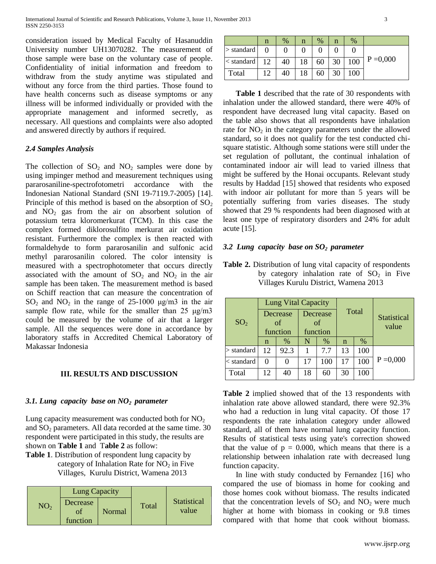consideration issued by Medical Faculty of Hasanuddin University number UH13070282. The measurement of those sample were base on the voluntary case of people. Confidentiality of initial information and freedom to withdraw from the study anytime was stipulated and without any force from the third parties. Those found to have health concerns such as disease symptoms or any illness will be informed individually or provided with the appropriate management and informed secretly, as necessary. All questions and complaints were also adopted and answered directly by authors if required.

## *2.4 Samples Analysis*

The collection of  $SO_2$  and  $NO_2$  samples were done by using impinger method and measurement techniques using pararosaniline-spectrofotometri accordance with the Indonesian National Standard (SNI 19-7119.7-2005) [14]. Principle of this method is based on the absorption of  $SO_2$ and  $NO<sub>2</sub>$  gas from the air on absorbent solution of potassium tetra kloromerkurat (TCM). In this case the complex formed diklorosulfito merkurat air oxidation resistant. Furthermore the complex is then reacted with formaldehyde to form pararosanilin and sulfonic acid methyl pararosanilin colored. The color intensity is measured with a spectrophotometer that occurs directly associated with the amount of  $SO_2$  and  $NO_2$  in the air sample has been taken. The measurement method is based on Schiff reaction that can measure the concentration of  $SO_2$  and  $NO_2$  in the range of 25-1000 μg/m3 in the air sample flow rate, while for the smaller than  $25 \text{ µg/m}3$ could be measured by the volume of air that a larger sample. All the sequences were done in accordance by laboratory staffs in Accredited Chemical Laboratory of Makassar Indonesia

### **III. RESULTS AND DISCUSSION**

# *3.1. Lung capacity base on NO2 parameter*

Lung capacity measurement was conducted both for  $NO<sub>2</sub>$ and  $SO<sub>2</sub>$  parameters. All data recorded at the same time. 30 respondent were participated in this study, the results are shown on **Table 1** and T**able 2** as follow:

**Table 1**. Distribution of respondent lung capacity by category of Inhalation Rate for  $NO<sub>2</sub>$  in Five Villages, Kurulu District, Wamena 2013

| NO <sub>2</sub> | <b>Lung Capacity</b> |        |       |                      |  |  |
|-----------------|----------------------|--------|-------|----------------------|--|--|
|                 | Decrease<br>function | Normal | Total | Statistical<br>value |  |  |

|                  | n  | $\%$ | n  | $\%$ | n  | $\%$ |             |
|------------------|----|------|----|------|----|------|-------------|
| $>$ standard $ $ |    |      |    |      |    |      |             |
| $<$ standard     | 12 | 40   | 18 | 60   | 30 | 100  | $P = 0,000$ |
| Total            | 12 | 40   | 18 | 60   |    | 100  |             |

**Table 1** described that the rate of 30 respondents with inhalation under the allowed standard, there were 40% of respondent have decreased lung vital capacity. Based on the table also shows that all respondents have inhalation rate for  $NO<sub>2</sub>$  in the category parameters under the allowed standard, so it does not qualify for the test conducted chisquare statistic. Although some stations were still under the set regulation of pollutant, the continual inhalation of contaminated indoor air will lead to varied illness that might be suffered by the Honai occupants. Relevant study results by Haddad [15] showed that residents who exposed with indoor air pollutant for more than 5 years will be potentially suffering from varies diseases. The study showed that 29 % respondents had been diagnosed with at least one type of respiratory disorders and 24% for adult acute [15].

## *3.2 Lung capacity base on SO2 parameter*

**Table 2.** Distribution of lung vital capacity of respondents by category inhalation rate of  $SO<sub>2</sub>$  in Five Villages Kurulu District, Wamena 2013

| SO <sub>2</sub> | <b>Lung Vital Capacity</b> |      |                |      |       |      |                             |  |
|-----------------|----------------------------|------|----------------|------|-------|------|-----------------------------|--|
|                 | Decrease<br>of             |      | Decrease<br>of |      | Total |      | <b>Statistical</b><br>value |  |
|                 | function                   |      | function       |      |       |      |                             |  |
|                 | n                          | %    | N              | $\%$ | n     | $\%$ |                             |  |
| $>$ standard    | 12                         | 92.3 |                | 7.7  | 13    | 100  |                             |  |
| $<$ standard    | 0                          | 0    | 17             | 100  | 17    | 100  | $P = 0,000$                 |  |
| Total           | 12                         | 40   | 18             | 60   | 30    | 100  |                             |  |

**Table 2** implied showed that of the 13 respondents with inhalation rate above allowed standard, there were 92.3% who had a reduction in lung vital capacity. Of those 17 respondents the rate inhalation category under allowed standard, all of them have normal lung capacity function. Results of statistical tests using yate's correction showed that the value of  $p = 0.000$ , which means that there is a relationship between inhalation rate with decreased lung function capacity.

In line with study conducted by Fernandez [16] who compared the use of biomass in home for cooking and those homes cook without biomass. The results indicated that the concentration levels of  $SO_2$  and  $NO_2$  were much higher at home with biomass in cooking or 9.8 times compared with that home that cook without biomass.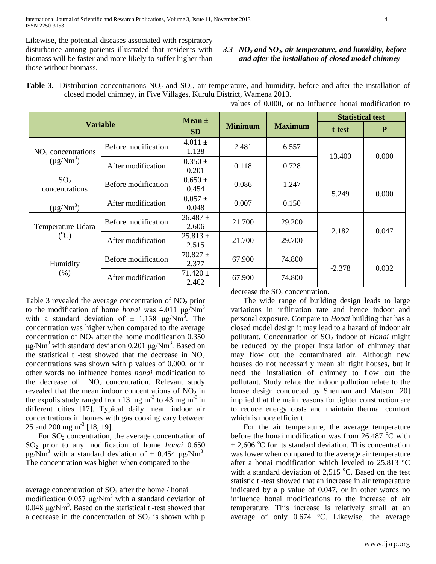Likewise, the potential diseases associated with respiratory disturbance among patients illustrated that residents with biomass will be faster and more likely to suffer higher than those without biomass.

### *3.3 NO<sup>2</sup> and SO2, air temperature, and humidity, before and after the installation of closed model chimney*

**Table 3.** Distribution concentrations NO<sub>2</sub> and SO<sub>2</sub>, air temperature, and humidity, before and after the installation of closed model chimney, in Five Villages, Kurulu District, Wamena 2013.

| <b>Variable</b>                                  |                     | $Mean \pm$            |                |                | <b>Statistical test</b> |              |
|--------------------------------------------------|---------------------|-----------------------|----------------|----------------|-------------------------|--------------|
|                                                  |                     | <b>SD</b>             | <b>Minimum</b> | <b>Maximum</b> | t-test                  | $\mathbf{P}$ |
| NO <sub>2</sub> concentrations<br>$(\mu g/Nm^3)$ | Before modification | $4.011 \pm$<br>1.138  | 2.481          | 6.557          | 13.400                  | 0.000        |
|                                                  | After modification  | $0.350 \pm$<br>0.201  | 0.118          | 0.728          |                         |              |
| SO <sub>2</sub><br>concentrations                | Before modification | $0.650 \pm$<br>0.454  | 0.086          | 1.247          | 5.249                   | 0.000        |
| $(\mu g/Nm^3)$                                   | After modification  | $0.057 \pm$<br>0.048  | 0.007          | 0.150          |                         |              |
| Temperature Udara<br>$({}^{\circ}C)$             | Before modification | $26.487 +$<br>2.606   | 21.700         | 29.200         | 2.182                   | 0.047        |
|                                                  | After modification  | $25.813 \pm$<br>2.515 | 21.700         | 29.700         |                         |              |
| Humidity<br>(%)                                  | Before modification | $70.827 \pm$<br>2.377 | 67.900         | 74.800         |                         | 0.032        |
|                                                  | After modification  | $71.420 \pm$<br>2.462 | 67.900         | 74.800         | $-2.378$                |              |

values of 0.000, or no influence honai modification to

Table 3 revealed the average concentration of  $NO<sub>2</sub>$  prior to the modification of home *honai* was 4.011 μg/Nm<sup>3</sup> with a standard deviation of  $\pm$  1,138  $\mu$ g/Nm<sup>3</sup>. The concentration was higher when compared to the average concentration of  $NO<sub>2</sub>$  after the home modification 0.350 μg/Nm<sup>3</sup> with standard deviation 0.201 μg/Nm<sup>3</sup>. Based on the statistical t -test showed that the decrease in  $NO<sub>2</sub>$ concentrations was shown with p values of 0.000, or in other words no influence homes *honai* modification to the decrease of  $NO<sub>2</sub>$  concentration. Relevant study revealed that the mean indoor concentrations of  $NO<sub>2</sub>$  in the expolis study ranged from 13 mg  $m^{-3}$  to 43 mg  $m^{-3}$  in different cities [17]. Typical daily mean indoor air concentrations in homes with gas cooking vary between 25 and 200 mg m<sup>-3</sup> [18, 19].

For  $SO<sub>2</sub>$  concentration, the average concentration of SO<sup>2</sup> prior to any modification of home *honai* 0.650 μg/Nm<sup>3</sup> with a standard deviation of  $\pm$  0.454 μg/Nm<sup>3</sup>. The concentration was higher when compared to the

average concentration of  $SO<sub>2</sub>$  after the home / honai modification  $0.057 \mu g/Nm^3$  with a standard deviation of  $0.048 \mu g/Nm^3$ . Based on the statistical t-test showed that a decrease in the concentration of  $SO_2$  is shown with p

decrease the  $SO<sub>2</sub>$  concentration.

The wide range of building design leads to large variations in infiltration rate and hence indoor and personal exposure. Compare to *Honai* building that has a closed model design it may lead to a hazard of indoor air pollutant. Concentration of SO<sub>2</sub> indoor of *Honai* might be reduced by the proper installation of chimney that may flow out the contaminated air. Although new houses do not necessarily mean air tight houses, but it need the installation of chimney to flow out the pollutant. Study relate the indoor pollution relate to the house design conducted by Sherman and Matson [20] implied that the main reasons for tighter construction are to reduce energy costs and maintain thermal comfort which is more efficient.

For the air temperature, the average temperature before the honai modification was from  $26.487 \degree C$  with  $\pm$  2,606 °C for its standard deviation. This concentration was lower when compared to the average air temperature after a honai modification which leveled to 25.813 °C with a standard deviation of  $2.515$  °C. Based on the test statistic t -test showed that an increase in air temperature indicated by a p value of 0.047, or in other words no influence honai modifications to the increase of air temperature. This increase is relatively small at an average of only 0.674 °C. Likewise, the average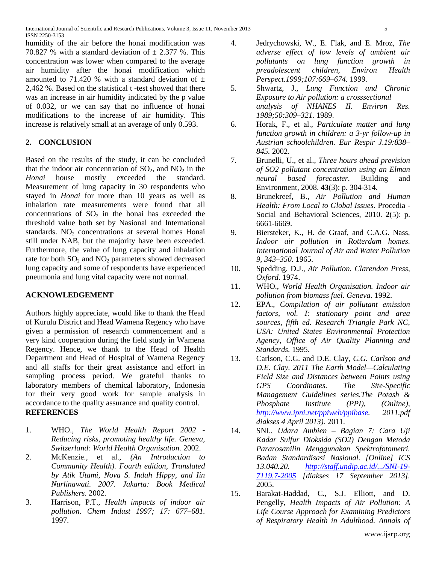humidity of the air before the honai modification was 70.827 % with a standard deviation of  $\pm$  2.377 %. This concentration was lower when compared to the average air humidity after the honai modification which amounted to 71.420 % with a standard deviation of  $\pm$ 2,462 %. Based on the statistical t -test showed that there was an increase in air humidity indicated by the p value of 0.032, or we can say that no influence of honai modifications to the increase of air humidity. This increase is relatively small at an average of only 0.593.

# **2. CONCLUSION**

Based on the results of the study, it can be concluded that the indoor air concentration of  $SO_2$ , and  $NO_2$  in the *Honai* house mostly exceeded the standard. Measurement of lung capacity in 30 respondents who stayed in *Honai* for more than 10 years as well as inhalation rate measurements were found that all concentrations of  $SO<sub>2</sub>$  in the honai has exceeded the threshold value both set by Nasional and International standards.  $NO<sub>2</sub>$  concentrations at several homes Honai still under NAB, but the majority have been exceeded. Furthermore, the value of lung capacity and inhalation rate for both  $SO_2$  and  $NO_2$  parameters showed decreased lung capacity and some of respondents have experienced pneumonia and lung vital capacity were not normal.

## **ACKNOWLEDGEMENT**

Authors highly appreciate, would like to thank the Head of Kurulu District and Head Wamena Regency who have given a permission of research commencement and a very kind cooperation during the field study in Wamena Regency. Hence, we thank to the Head of Health Department and Head of Hospital of Wamena Regency and all staffs for their great assistance and effort in sampling process period. We grateful thanks to laboratory members of chemical laboratory, Indonesia for their very good work for sample analysis in accordance to the quality assurance and quality control. **REFERENCES** 

- 1. WHO., *The World Health Report 2002 - Reducing risks, promoting healthy life. Geneva, Switzerland: World Health Organisation.* 2002.
- 2. McKenzie., et al., *(An Introduction to Community Health). Fourth edition, Translated by Atik Utami, Nova S. Indah Hippy, and Iin Nurlinawati. 2007. Jakarta: Book Medical Publishers.* 2002.
- 3. Harrison, P.T., *Health impacts of indoor air pollution. Chem Indust 1997; 17: 677–681.* 1997.
- 4. Jedrychowski, W., E. Flak, and E. Mroz, *The adverse effect of low levels of ambient air pollutants on lung function growth in preadolescent children, Environ Health Perspect.1999;107:669–674.* 1999.
- 5. Shwartz, J., *Lung Function and Chronic Exposure to Air pollution: a crosssectional analysis of NHANES II. Environ Res. 1989;50:309–321.* 1989.
- 6. Horak, F., et al., *Particulate matter and lung function growth in children: a 3-yr follow-up in Austrian schoolchildren. Eur Respir J.19:838– 845.* 2002.
- 7. Brunelli, U., et al., *Three hours ahead prevision of SO2 pollutant concentration using an Elman neural based forecaster.* Building and Environment, 2008. **43**(3): p. 304-314.
- 8. Brunekreef, B., *Air Pollution and Human Health: From Local to Global Issues.* Procedia - Social and Behavioral Sciences, 2010. **2**(5): p. 6661-6669.
- 9. Biersteker, K., H. de Graaf, and C.A.G. Nass, *Indoor air pollution in Rotterdam homes. International Journal of Air and Water Pollution 9, 343–350.* 1965.
- 10. Spedding, D.J., *Air Pollution. Clarendon Press, Oxford.* 1974.
- 11. WHO., *World Health Organisation. Indoor air pollution from biomass fuel. Geneva.* 1992.
- 12. EPA., *Compilation of air pollutant emission factors, vol. I: stationary point and area sources, fifth ed. Research Triangle Park NC, USA: United States Environmental Protection Agency, Office of Air Quality Planning and Standards.* 1995.
- 13. Carlson, C.G. and D.E. Clay, *C.G. Carlson and D.E. Clay. 2011 The Earth Model—Calculating Field Size and Distances between Points using GPS Coordinates. The Site-Specific Management Guidelines series.The Potash & Phosphate Institute (PPI), (Online), [http://www.ipni.net/ppiweb/ppibase.](http://www.ipni.net/ppiweb/ppibase) 2011.pdf diakses 4 April 2013).* 2011.
- 14. SNI., *Udara Ambien – Bagian 7: Cara Uji Kadar Sulfur Dioksida (SO2) Dengan Metoda Pararosanilin Menggunakan Spektrofotometri. Badan Standardisasi Nasional. [Online] ICS 13.040.20. [http://staff.undip.ac.id/.../SNI-19-](http://staff.undip.ac.id/.../SNI-19-7119.7-2005) [7119.7-2005](http://staff.undip.ac.id/.../SNI-19-7119.7-2005) [diakses 17 September 2013].* 2005.
- 15. Barakat-Haddad, C., S.J. Elliott, and D. Pengelly, *Health Impacts of Air Pollution: A Life Course Approach for Examining Predictors of Respiratory Health in Adulthood. Annals of*